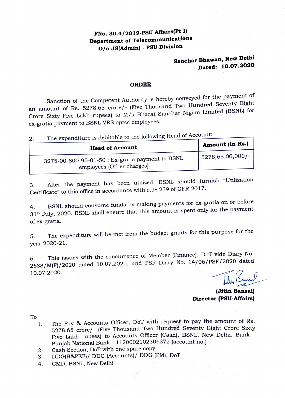# **FNo. 30-4/2019-PSU Affairs(Pt I) Department of Telecommunications O / o JS(Admin) - PSU Division**

# **Sanchar Bhawan, New Delhi Dated: 10.07.2020**

#### **ORDER**

Sanction of the Competent Authority is hereby conveyed for the payment of an amount of Rs. 5278.65 crore/- (Five Thousand Two Hundred Seventy Eight Crore Sixty Five Lakh rupees) to M/s Bharat Sanchar Nigam Limited (BSNL) for ex-gratia payment to BSNL VRS optee employees.

2. The expenditure is debitable to the following Head of Account:

| --<br><b>Head of Account</b>                                                  | <sup>'</sup> Amount (in Rs.) |
|-------------------------------------------------------------------------------|------------------------------|
| 3275-00-800-95-01-50 : Ex-gratia payment to BSNL<br>employees (Other charges) | $15278,65,00,000/$ -         |
|                                                                               |                              |

3. After the payment has been utilized, BSNL should furnish "Utilization Certificate" to this office in accordance with rule 239 of GFR 2017.

4. BSNL should consume funds by making payments for ex-gratia on or before 31<sup>st</sup> July, 2020. BSNL shall ensure that this amount is spent only for the payment of ex-gratia.

5. The expenditure will be met from the budget grants for this purpose for the year 2020-21.

6. This issues with the concurrence of Member (Finance), DoT vide Diary No. 2688/M(F)/2020 dated 10.07.2020, and PSF Diary No. 14/06/PSF /2020 dated 10.07.2020.

**(Jitin Bansal) Director (PSU-Affairs)** 

To

- 1. The Pay & Accounts Officer, DoT with request to pay the amount of Rs. 5278.65 crore/- (Five Thousand Two Hundred Seventy Eight Crore Sixty Five Lakh rupees) to Accounts Officer (Cash), BSNL, New Delhi. Bank \_ Punjab National Bank - <sup>1120002102306372</sup>(account no.)
- 2. Cash Section, DoT with one spare copy
- 3. DDG(B&PEF)/ DDG (Accounts)/ DDG **(PM),** DoT
- 4. CMD, BSNL, New Delhi